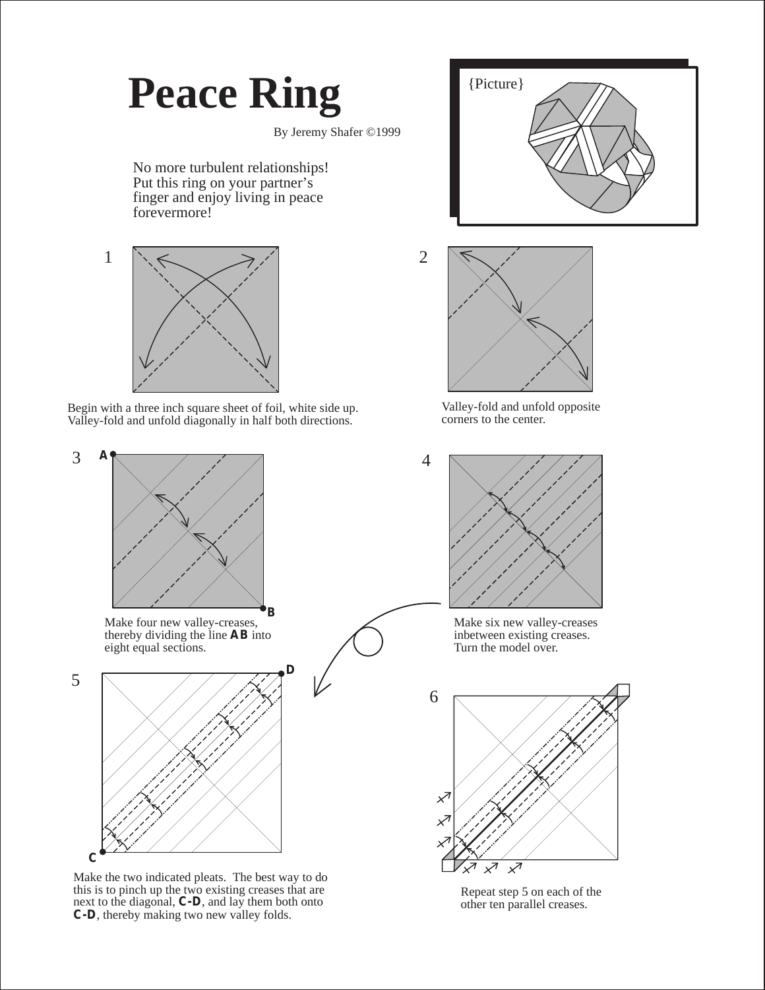## **Peace Ring**

By Jeremy Shafer ©1999

No more turbulent relationships! Put this ring on your partner's finger and enjoy living in peace forevermore!



Begin with a three inch square sheet of foil, white side up. Valley-fold and unfold diagonally in half both directions.



Make four new valley-creases, thereby dividing the line **AB** into eight equal sections.



Make the two indicated pleats. The best way to do this is to pinch up the two existing creases that are next to the diagonal, **C-D**, and lay them both onto **C-D**, thereby making two new valley folds.





Valley-fold and unfold opposite corners to the center.



Make six new valley-creases inbetween existing creases. Turn the model over.



Repeat step 5 on each of the other ten parallel creases.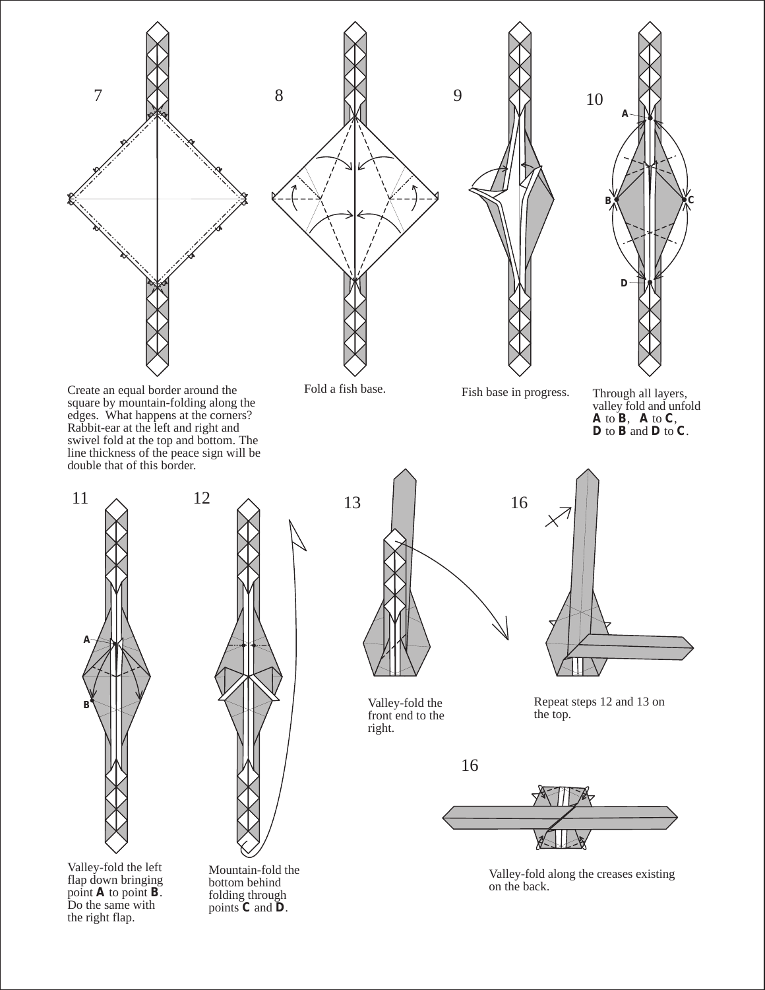Create an equal border around the square by mountain-folding along the edges. What happens at the corners? Rabbit-ear at the left and right and swivel fold at the top and bottom. The line thickness of the peace sign will be double that of this border.

**B A**



Valley-fold the left flap down bringing point **A** to point **B**. Do the same with the right flap.

Mountain-fold the bottom behind folding through points **C** and **D**.



Valley-fold the front end to the right.



Repeat steps 12 and 13 on

16



Valley-fold along the creases existing on the back.







valley fold and unfold **A** to **B**, **A** to **C**, **D** to **B** and **D** to **C**.